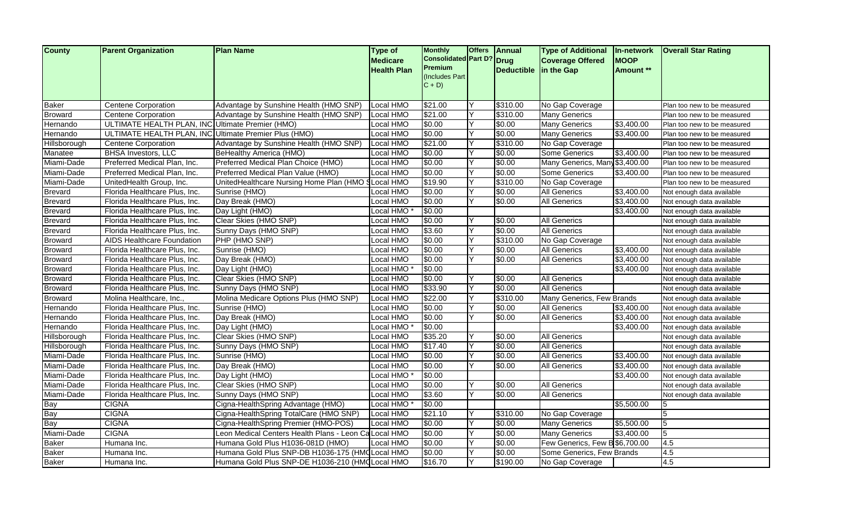| <b>County</b>  | <b>Parent Organization</b>                            | <b>Plan Name</b>                                      | <b>Type of</b><br><b>Medicare</b> | <b>Monthly</b><br>Consolidated Part D? Drug | <b>Offers</b> | <b>Annual</b>         | <b>Type of Additional</b><br><b>Coverage Offered</b> | <b>In-network</b><br><b>IMOOP</b> | <b>Overall Star Rating</b>  |
|----------------|-------------------------------------------------------|-------------------------------------------------------|-----------------------------------|---------------------------------------------|---------------|-----------------------|------------------------------------------------------|-----------------------------------|-----------------------------|
|                |                                                       |                                                       | <b>Health Plan</b>                | <b>Premium</b>                              |               | Deductible in the Gap |                                                      | Amount **                         |                             |
|                |                                                       |                                                       |                                   | (Includes Part                              |               |                       |                                                      |                                   |                             |
|                |                                                       |                                                       |                                   | $C + D$                                     |               |                       |                                                      |                                   |                             |
| <b>Baker</b>   | <b>Centene Corporation</b>                            | Advantage by Sunshine Health (HMO SNP)                | Local HMO                         | \$21.00                                     | ΙY            | \$310.00              | No Gap Coverage                                      |                                   | Plan too new to be measured |
| <b>Broward</b> | <b>Centene Corporation</b>                            | Advantage by Sunshine Health (HMO SNP)                | Local HMO                         | \$21.00                                     | ΙY            | \$310.00              | <b>Many Generics</b>                                 |                                   | Plan too new to be measured |
| Hernando       | ULTIMATE HEALTH PLAN, INC Ultimate Premier (HMO)      |                                                       | Local HMO                         | \$0.00                                      | Y             | \$0.00                | <b>Many Generics</b>                                 | \$3,400.00                        | Plan too new to be measured |
| Hernando       | ULTIMATE HEALTH PLAN, INC Ultimate Premier Plus (HMO) |                                                       | Local HMO                         | \$0.00                                      | Y             | \$0.00                | Many Generics                                        | \$3,400.00                        | Plan too new to be measured |
| Hillsborough   | <b>Centene Corporation</b>                            | Advantage by Sunshine Health (HMO SNP)                | Local HMO                         | \$21.00                                     | Y             | \$310.00              | No Gap Coverage                                      |                                   | Plan too new to be measured |
| Manatee        | <b>BHSA Investors, LLC</b>                            | BeHealthy America (HMO)                               | Local HMO                         | \$0.00                                      | Y             | \$0.00                | <b>Some Generics</b>                                 | \$3,400.00                        | Plan too new to be measured |
| Miami-Dade     | Preferred Medical Plan, Inc.                          | Preferred Medical Plan Choice (HMO)                   | Local HMO                         | \$0.00                                      | Y             | \$0.00                | Many Generics, Many \$3,400.00                       |                                   | Plan too new to be measured |
| Miami-Dade     | Preferred Medical Plan, Inc.                          | Preferred Medical Plan Value (HMO)                    | Local HMO                         | \$0.00                                      | Y             | \$0.00                | Some Generics                                        | \$3,400.00                        | Plan too new to be measured |
| Miami-Dade     | UnitedHealth Group, Inc.                              | UnitedHealthcare Nursing Home Plan (HMO               | <b>SLocal HMO</b>                 | \$19.90                                     | Y             | \$310.00              | No Gap Coverage                                      |                                   | Plan too new to be measured |
| Brevard        | Florida Healthcare Plus, Inc.                         | Sunrise (HMO)                                         | Local HMO                         | \$0.00                                      | Y             | \$0.00                | All Generics                                         | \$3,400.00                        | Not enough data available   |
| Brevard        | Florida Healthcare Plus, Inc.                         | Day Break (HMO)                                       | Local HMO                         | \$0.00                                      | Y             | \$0.00                | All Generics                                         | \$3,400.00                        | Not enough data available   |
| <b>Brevard</b> | Florida Healthcare Plus, Inc.                         | Day Light (HMO)                                       | Local HMO                         | \$0.00                                      |               |                       |                                                      | \$3,400.00                        | Not enough data available   |
| <b>Brevard</b> | Florida Healthcare Plus, Inc.                         | Clear Skies (HMO SNP)                                 | Local HMO                         | \$0.00                                      | Y             | \$0.00                | <b>All Generics</b>                                  |                                   | Not enough data available   |
| <b>Brevard</b> | Florida Healthcare Plus, Inc.                         | Sunny Days (HMO SNP)                                  | Local HMO                         | \$3.60                                      | Y             | \$0.00                | <b>All Generics</b>                                  |                                   | Not enough data available   |
| <b>Broward</b> | AIDS Healthcare Foundation                            | PHP (HMO SNP)                                         | Local HMO                         | \$0.00                                      | Y             | \$310.00              | No Gap Coverage                                      |                                   | Not enough data available   |
| <b>Broward</b> | Florida Healthcare Plus, Inc.                         | Sunrise (HMO)                                         | Local HMO                         | \$0.00                                      | Y             | \$0.00                | All Generics                                         | \$3,400.00                        | Not enough data available   |
| Broward        | Florida Healthcare Plus, Inc.                         | Day Break (HMO)                                       | Local HMO                         | \$0.00                                      | Y             | \$0.00                | <b>All Generics</b>                                  | \$3,400.00                        | Not enough data available   |
| <b>Broward</b> | Florida Healthcare Plus, Inc.                         | Day Light (HMO)                                       | Local HMO                         | \$0.00                                      |               |                       |                                                      | \$3,400.00                        | Not enough data available   |
| <b>Broward</b> | Florida Healthcare Plus, Inc.                         | Clear Skies (HMO SNP)                                 | Local HMO                         | \$0.00                                      | Y             | \$0.00                | All Generics                                         |                                   | Not enough data available   |
| <b>Broward</b> | Florida Healthcare Plus, Inc.                         | Sunny Days (HMO SNP)                                  | Local HMO                         | \$33.90                                     | Y             | \$0.00                | <b>All Generics</b>                                  |                                   | Not enough data available   |
| <b>Broward</b> | Molina Healthcare, Inc.                               | Molina Medicare Options Plus (HMO SNP)                | Local HMO                         | \$22.00                                     | Y             | \$310.00              | Many Generics, Few Brands                            |                                   | Not enough data available   |
| Hernando       | Florida Healthcare Plus, Inc.                         | Sunrise (HMO)                                         | Local HMO                         | \$0.00                                      | Y             | \$0.00                | <b>All Generics</b>                                  | \$3,400.00                        | Not enough data available   |
| Hernando       | Florida Healthcare Plus, Inc.                         | Day Break (HMO)                                       | Local HMO                         | \$0.00                                      | ΙY            | \$0.00                | <b>All Generics</b>                                  | \$3,400.00                        | Not enough data available   |
| Hernando       | Florida Healthcare Plus, Inc.                         | Day Light (HMO)                                       | Local HMO                         | \$0.00                                      |               |                       |                                                      | \$3,400.00                        | Not enough data available   |
| Hillsborough   | Florida Healthcare Plus, Inc.                         | Clear Skies (HMO SNP)                                 | Local HMO                         | \$35.20                                     | Y             | \$0.00                | <b>All Generics</b>                                  |                                   | Not enough data available   |
| Hillsborough   | Florida Healthcare Plus, Inc.                         | Sunny Days (HMO SNP)                                  | <b>Local HMO</b>                  | \$17.40                                     | Y             | \$0.00                | <b>All Generics</b>                                  |                                   | Not enough data available   |
| Miami-Dade     | Florida Healthcare Plus, Inc.                         | Sunrise (HMO)                                         | <b>Local HMO</b>                  | \$0.00                                      | Y             | \$0.00                | <b>All Generics</b>                                  | \$3,400.00                        | Not enough data available   |
| Miami-Dade     | Florida Healthcare Plus, Inc.                         | Day Break (HMO)                                       | Local HMO                         | \$0.00                                      | Y             | \$0.00                | <b>All Generics</b>                                  | \$3,400.00                        | Not enough data available   |
| Miami-Dade     | Florida Healthcare Plus, Inc.                         | Day Light (HMO)                                       | Local HMO                         | \$0.00                                      |               |                       |                                                      | \$3,400.00                        | Not enough data available   |
| Miami-Dade     | Florida Healthcare Plus, Inc.                         | Clear Skies (HMO SNP)                                 | Local HMO                         | \$0.00                                      | Y             | \$0.00                | <b>All Generics</b>                                  |                                   | Not enough data available   |
| Miami-Dade     | Florida Healthcare Plus, Inc.                         | Sunny Days (HMO SNP)                                  | <b>Local HMO</b>                  | \$3.60                                      | ΙY            | \$0.00                | <b>All Generics</b>                                  |                                   | Not enough data available   |
| Bay            | <b>CIGNA</b>                                          | Cigna-HealthSpring Advantage (HMO)                    | Local HMO                         | \$0.00                                      |               |                       |                                                      | \$5,500.00                        | 5                           |
| Bay            | <b>CIGNA</b>                                          | Cigna-HealthSpring TotalCare (HMO SNP)                | Local HMO                         | \$21.10                                     | Y             | \$310.00              | No Gap Coverage                                      |                                   | 5                           |
| Bay            | <b>CIGNA</b>                                          | Cigna-HealthSpring Premier (HMO-POS)                  | Local HMO                         | \$0.00                                      | Y             | \$0.00                | <b>Many Generics</b>                                 | \$5,500.00                        | 5                           |
| Miami-Dade     | <b>CIGNA</b>                                          | Leon Medical Centers Health Plans - Leon Ca Local HMO |                                   | \$0.00                                      | Y             | \$0.00                | <b>Many Generics</b>                                 | \$3,400.00                        | $\overline{5}$              |
| <b>Baker</b>   | Humana Inc.                                           | Humana Gold Plus H1036-081D (HMO)                     | Local HMO                         | \$0.00                                      | Y             | \$0.00                | Few Generics, Few B \$6,700.00                       |                                   | 4.5                         |
| <b>Baker</b>   | Humana Inc.                                           | Humana Gold Plus SNP-DB H1036-175 (HMCLocal HMO       |                                   | \$0.00                                      | Y             | \$0.00                | Some Generics, Few Brands                            |                                   | 4.5                         |
| <b>Baker</b>   | Humana Inc.                                           | Humana Gold Plus SNP-DE H1036-210 (HMQ Local HMO      |                                   | \$16.70                                     | Y             | \$190.00              | No Gap Coverage                                      |                                   | 4.5                         |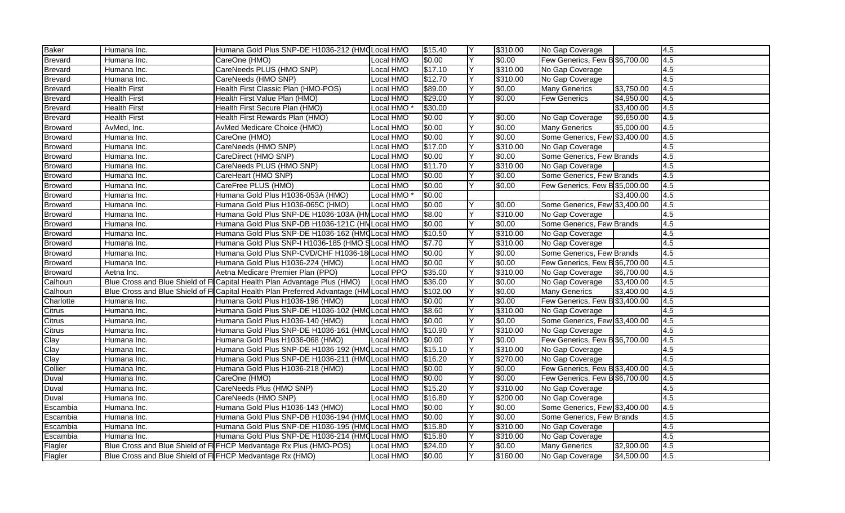| Baker          | Humana Inc.                                              | Humana Gold Plus SNP-DE H1036-212 (HMQ Local HMO                                      |                  | \$15.40  | Y  | \$310.00 | No Gap Coverage                |            | $\overline{4.5}$ |
|----------------|----------------------------------------------------------|---------------------------------------------------------------------------------------|------------------|----------|----|----------|--------------------------------|------------|------------------|
| <b>Brevard</b> | Humana Inc.                                              | CareOne (HMO)                                                                         | Local HMO        | \$0.00   | Y  | \$0.00   | Few Generics, Few B \$6,700.00 |            | 4.5              |
| Brevard        | Humana Inc.                                              | CareNeeds PLUS (HMO SNP)                                                              | Local HMO        | \$17.10  | Y  | \$310.00 | No Gap Coverage                |            | $\overline{4.5}$ |
| Brevard        | Humana Inc.                                              | CareNeeds (HMO SNP)                                                                   | Local HMO        | \$12.70  | Y  | \$310.00 | No Gap Coverage                |            | 4.5              |
| <b>Brevard</b> | <b>Health First</b>                                      | Health First Classic Plan (HMO-POS)                                                   | <b>Local HMO</b> | \$89.00  | Y  | \$0.00   | <b>Many Generics</b>           | \$3,750.00 | 4.5              |
| Brevard        | <b>Health First</b>                                      | Health First Value Plan (HMO)                                                         | Local HMO        | \$29.00  | Y  | \$0.00   | <b>Few Generics</b>            | \$4,950.00 | $\overline{4.5}$ |
| Brevard        | <b>Health First</b>                                      | Health First Secure Plan (HMO)                                                        | Local HMO        | \$30.00  |    |          |                                | \$3,400.00 | 4.5              |
| Brevard        | <b>Health First</b>                                      | Health First Rewards Plan (HMO)                                                       | Local HMO        | \$0.00   | Y  | \$0.00   | No Gap Coverage                | \$6,650.00 | 4.5              |
| <b>Broward</b> | AvMed, Inc.                                              | AvMed Medicare Choice (HMO)                                                           | ocal HMO         | \$0.00   | Y  | \$0.00   | <b>Many Generics</b>           | \$5,000.00 | 4.5              |
| Broward        | Humana Inc.                                              | CareOne (HMO)                                                                         | Local HMO        | \$0.00   | Y  | \$0.00   | Some Generics, Few \$3,400.00  |            | $\overline{4.5}$ |
| Broward        | Humana Inc.                                              | CareNeeds (HMO SNP)                                                                   | Local HMO        | \$17.00  | Y  | \$310.00 | No Gap Coverage                |            | 4.5              |
| <b>Broward</b> | Humana Inc.                                              | CareDirect (HMO SNP)                                                                  | Local HMO        | \$0.00   | Y  | \$0.00   | Some Generics, Few Brands      |            | 4.5              |
| Broward        | Humana Inc.                                              | CareNeeds PLUS (HMO SNP)                                                              | Local HMO        | \$11.70  | Y  | \$310.00 | No Gap Coverage                |            | $\overline{4.5}$ |
| <b>Broward</b> | Humana Inc.                                              | CareHeart (HMO SNP)                                                                   | Local HMO        | \$0.00   | Y  | \$0.00   | Some Generics, Few Brands      |            | 4.5              |
| Broward        | Humana Inc.                                              | CareFree PLUS (HMO)                                                                   | Local HMO        | \$0.00   | Y  | \$0.00   | Few Generics, Few B \$5,000.00 |            | $\overline{4.5}$ |
| Broward        | Humana Inc.                                              | Humana Gold Plus H1036-053A (HMO)                                                     | Local HMO        | \$0.00   |    |          |                                | \$3,400.00 | 4.5              |
| Broward        | Humana Inc.                                              | Humana Gold Plus H1036-065C (HMO)                                                     | Local HMO        | \$0.00   | Y  | \$0.00   | Some Generics, Few \$3,400.00  |            | 4.5              |
| <b>Broward</b> | Humana Inc.                                              | Humana Gold Plus SNP-DE H1036-103A (HM Local HMO                                      |                  | \$8.00   | Y  | \$310.00 | No Gap Coverage                |            | $\overline{4.5}$ |
| <b>Broward</b> | Humana Inc.                                              | Humana Gold Plus SNP-DB H1036-121C (HN Local HMO                                      |                  | \$0.00   | Υ  | \$0.00   | Some Generics, Few Brands      |            | $\overline{4.5}$ |
| Broward        | Humana Inc.                                              | Humana Gold Plus SNP-DE H1036-162 (HMQ Local HMO                                      |                  | \$10.50  | Y  | \$310.00 | No Gap Coverage                |            | 4.5              |
| <b>Broward</b> | Humana Inc.                                              | Humana Gold Plus SNP-I H1036-185 (HMO SLocal HMO                                      |                  | \$7.70   | Y  | \$310.00 | No Gap Coverage                |            | $\overline{4.5}$ |
| <b>Broward</b> | Humana Inc.                                              | Humana Gold Plus SNP-CVD/CHF H1036-18 Local HMO                                       |                  | \$0.00   | Y  | \$0.00   | Some Generics, Few Brands      |            | 4.5              |
| <b>Broward</b> | Humana Inc.                                              | Humana Gold Plus H1036-224 (HMO)                                                      | Local HMO        | \$0.00   | Y  | \$0.00   | Few Generics, Few B \$6,700.00 |            | $\overline{4.5}$ |
| <b>Broward</b> | Aetna Inc.                                               | Aetna Medicare Premier Plan (PPO)                                                     | <b>Local PPO</b> | \$35.00  | Y  | \$310.00 | No Gap Coverage                | \$6,700.00 | 4.5              |
| Calhoun        |                                                          | Blue Cross and Blue Shield of FICapital Health Plan Advantage Plus (HMO)              | Local HMO        | \$36.00  | Y  | \$0.00   | No Gap Coverage                | \$3,400.00 | 4.5              |
| Calhoun        |                                                          | Blue Cross and Blue Shield of FICapital Health Plan Preferred Advantage (HM Local HMO |                  | \$102.00 | Y  | \$0.00   | <b>Many Generics</b>           | \$3,400.00 | 4.5              |
| Charlotte      | Humana Inc.                                              | Humana Gold Plus H1036-196 (HMO)                                                      | Local HMO        | \$0.00   | Y  | \$0.00   | Few Generics, Few B \$3,400.00 |            | 4.5              |
| Citrus         | Humana Inc.                                              | Humana Gold Plus SNP-DE H1036-102 (HMQ Local HMO                                      |                  | \$8.60   | Y  | \$310.00 | No Gap Coverage                |            | $\overline{4.5}$ |
| Citrus         | Humana Inc.                                              | Humana Gold Plus H1036-140 (HMO)                                                      | Local HMO        | \$0.00   | Y  | \$0.00   | Some Generics, Few \$3,400.00  |            | 4.5              |
| Citrus         | Humana Inc.                                              | Humana Gold Plus SNP-DE H1036-161 (HMQ Local HMO                                      |                  | \$10.90  | Y  | \$310.00 | No Gap Coverage                |            | 4.5              |
| Clay           | Humana Inc.                                              | Humana Gold Plus H1036-068 (HMO)                                                      | Local HMO        | \$0.00   | Y  | \$0.00   | Few Generics, Few B \$6,700.00 |            | 4.5              |
| Clay           | Humana Inc.                                              | Humana Gold Plus SNP-DE H1036-192 (HMQ Local HMO                                      |                  | \$15.10  | Υ  | \$310.00 | No Gap Coverage                |            | 4.5              |
| Clay           | Humana Inc.                                              | Humana Gold Plus SNP-DE H1036-211 (HMQ Local HMO                                      |                  | \$16.20  | Y  | \$270.00 | No Gap Coverage                |            | $\overline{4.5}$ |
| Collier        | Humana Inc.                                              | Humana Gold Plus H1036-218 (HMO)                                                      | Local HMO        | \$0.00   | Y  | \$0.00   | Few Generics, Few B \$3,400.00 |            | 4.5              |
| Duval          | Humana Inc.                                              | CareOne (HMO)                                                                         | Local HMO        | \$0.00   | Y  | \$0.00   | Few Generics, Few B \$6,700.00 |            | 4.5              |
| Duval          | Humana Inc.                                              | CareNeeds Plus (HMO SNP)                                                              | Local HMO        | \$15.20  | ΙY | \$310.00 | No Gap Coverage                |            | 4.5              |
| Duval          | Humana Inc.                                              | CareNeeds (HMO SNP)                                                                   | <b>Local HMO</b> | \$16.80  | Υ  | \$200.00 | No Gap Coverage                |            | $\overline{4.5}$ |
| Escambia       | Humana Inc.                                              | Humana Gold Plus H1036-143 (HMO)                                                      | Local HMO        | \$0.00   | Y  | \$0.00   | Some Generics, Few \$3,400.00  |            | 4.5              |
| Escambia       | Humana Inc.                                              | Humana Gold Plus SNP-DB H1036-194 (HMCLocal HMO                                       |                  | \$0.00   | Y  | \$0.00   | Some Generics, Few Brands      |            | $\overline{4.5}$ |
| Escambia       | Humana Inc.                                              | Humana Gold Plus SNP-DE H1036-195 (HMCLocal HMO                                       |                  | \$15.80  | Y  | \$310.00 | No Gap Coverage                |            | 4.5              |
| Escambia       | Humana Inc.                                              | Humana Gold Plus SNP-DE H1036-214 (HMQ Local HMO                                      |                  | \$15.80  | Y  | \$310.00 | No Gap Coverage                |            | 4.5              |
| Flagler        |                                                          | Blue Cross and Blue Shield of FIFHCP Medvantage Rx Plus (HMO-POS)                     | Local HMO        | \$24.00  | Y  | \$0.00   | <b>Many Generics</b>           | \$2,900.00 | 4.5              |
| Flagler        | Blue Cross and Blue Shield of FIFHCP Medvantage Rx (HMO) |                                                                                       | Local HMO        | \$0.00   | Y  | \$160.00 | No Gap Coverage                | \$4,500.00 | $\overline{4.5}$ |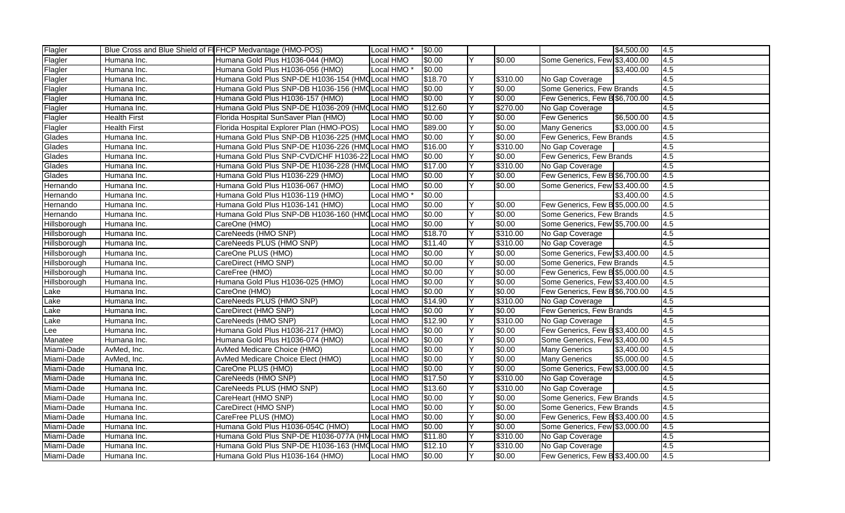| Flagler      | Blue Cross and Blue Shield of FIFHCP Medvantage (HMO-POS) |                                                  | Local HMO <sup>*</sup> | \$0.00  |    |          |                                | \$4,500.00 | 4.5              |
|--------------|-----------------------------------------------------------|--------------------------------------------------|------------------------|---------|----|----------|--------------------------------|------------|------------------|
| Flagler      | Humana Inc.                                               | Humana Gold Plus H1036-044 (HMO)                 | Local HMO              | \$0.00  | Y  | \$0.00   | Some Generics, Few \$3,400.00  |            | 4.5              |
| Flagler      | Humana Inc.                                               | Humana Gold Plus H1036-056 (HMO)                 | Local HMO <sup>3</sup> | \$0.00  |    |          |                                | \$3,400.00 | 4.5              |
| Flagler      | Humana Inc.                                               | Humana Gold Plus SNP-DE H1036-154 (HMQ Local HMO |                        | \$18.70 | Y  | \$310.00 | No Gap Coverage                |            | 4.5              |
| Flagler      | Humana Inc.                                               | Humana Gold Plus SNP-DB H1036-156 (HMQ Local HMO |                        | \$0.00  | Y  | \$0.00   | Some Generics, Few Brands      |            | 4.5              |
| Flagler      | Humana Inc.                                               | Humana Gold Plus H1036-157 (HMO)                 | Local HMO              | \$0.00  | Y  | \$0.00   | Few Generics, Few B \$6,700.00 |            | $\overline{4.5}$ |
| Flagler      | Humana Inc.                                               | Humana Gold Plus SNP-DE H1036-209 (HMQ Local HMO |                        | \$12.60 | Υ  | \$270.00 | No Gap Coverage                |            | 4.5              |
| Flagler      | <b>Health First</b>                                       | Florida Hospital SunSaver Plan (HMO)             | Local HMO              | \$0.00  | Y  | \$0.00   | <b>Few Generics</b>            | \$6,500.00 | 4.5              |
| Flagler      | <b>Health First</b>                                       | Florida Hospital Explorer Plan (HMO-POS)         | Local HMO              | \$89.00 | Y  | \$0.00   | <b>Many Generics</b>           | \$3,000.00 | 4.5              |
| Glades       | Humana Inc.                                               | Humana Gold Plus SNP-DB H1036-225 (HMQ Local HMO |                        | \$0.00  | Y  | \$0.00   | Few Generics, Few Brands       |            | $\overline{4.5}$ |
| Glades       | Humana Inc.                                               | Humana Gold Plus SNP-DE H1036-226 (HMCLocal HMO  |                        | \$16.00 | Y  | \$310.00 | No Gap Coverage                |            | 4.5              |
| Glades       | Humana Inc.                                               | Humana Gold Plus SNP-CVD/CHF H1036-22 Local HMO  |                        | \$0.00  | Y  | \$0.00   | Few Generics, Few Brands       |            | 4.5              |
| Glades       | Humana Inc.                                               | Humana Gold Plus SNP-DE H1036-228 (HMQ Local HMO |                        | \$17.00 | Y  | \$310.00 | No Gap Coverage                |            | $\overline{4.5}$ |
| Glades       | Humana Inc.                                               | Humana Gold Plus H1036-229 (HMO)                 | Local HMO              | \$0.00  | Y  | \$0.00   | Few Generics, Few B \$6,700.00 |            | 4.5              |
| Hernando     | Humana Inc.                                               | Humana Gold Plus H1036-067 (HMO)                 | Local HMO              | \$0.00  | Y  | \$0.00   | Some Generics, Few \$3,400.00  |            | $\overline{4.5}$ |
| Hernando     | Humana Inc.                                               | Humana Gold Plus H1036-119 (HMO)                 | Local HMO              | \$0.00  |    |          |                                | \$3,400.00 | 4.5              |
| Hernando     | Humana Inc.                                               | Humana Gold Plus H1036-141 (HMO)                 | Local HMO              | \$0.00  | Y  | \$0.00   | Few Generics, Few B \$5,000.00 |            | 4.5              |
| Hernando     | Humana Inc.                                               | Humana Gold Plus SNP-DB H1036-160 (HMQ Local HMO |                        | \$0.00  | Y  | \$0.00   | Some Generics, Few Brands      |            | $\overline{4.5}$ |
| Hillsborough | Humana Inc.                                               | CareOne (HMO)                                    | Local HMO              | \$0.00  | Υ  | \$0.00   | Some Generics, Few \$5,700.00  |            | 4.5              |
| Hillsborough | Humana Inc.                                               | CareNeeds (HMO SNP)                              | Local HMO              | \$18.70 | Y  | \$310.00 | No Gap Coverage                |            | $\overline{4.5}$ |
| Hillsborough | Humana Inc.                                               | CareNeeds PLUS (HMO SNP)                         | Local HMO              | \$11.40 | Y  | \$310.00 | No Gap Coverage                |            | $\overline{4.5}$ |
| Hillsborough | Humana Inc.                                               | CareOne PLUS (HMO)                               | Local HMO              | \$0.00  | Υ  | \$0.00   | Some Generics, Few \$3,400.00  |            | 4.5              |
| Hillsborough | Humana Inc.                                               | CareDirect (HMO SNP)                             | Local HMO              | \$0.00  | Y  | \$0.00   | Some Generics, Few Brands      |            | 4.5              |
| Hillsborough | Humana Inc.                                               | CareFree (HMO)                                   | Local HMO              | \$0.00  | Y  | \$0.00   | Few Generics, Few B \$5,000.00 |            | 4.5              |
| Hillsborough | Humana Inc.                                               | Humana Gold Plus H1036-025 (HMO)                 | Local HMO              | \$0.00  | Y  | \$0.00   | Some Generics, Few \$3,400.00  |            | 4.5              |
| Lake         | Humana Inc.                                               | CareOne (HMO)                                    | Local HMO              | \$0.00  | Υ  | \$0.00   | Few Generics, Few B \$6,700.00 |            | 4.5              |
| Lake         | Humana Inc.                                               | CareNeeds PLUS (HMO SNP)                         | Local HMO              | \$14.90 | Y  | \$310.00 | No Gap Coverage                |            | 4.5              |
| Lake         | Humana Inc.                                               | CareDirect (HMO SNP)                             | Local HMO              | \$0.00  | Y  | \$0.00   | Few Generics, Few Brands       |            | $\overline{4.5}$ |
| Lake         | Humana Inc.                                               | CareNeeds (HMO SNP)                              | Local HMO              | \$12.90 | Y  | \$310.00 | No Gap Coverage                |            | 4.5              |
| Lee          | Humana Inc.                                               | Humana Gold Plus H1036-217 (HMO)                 | Local HMO              | \$0.00  | Y  | \$0.00   | Few Generics, Few B \$3,400.00 |            | 4.5              |
| Manatee      | Humana Inc.                                               | Humana Gold Plus H1036-074 (HMO)                 | Local HMO              | \$0.00  | Y  | \$0.00   | Some Generics, Few \$3,400.00  |            | 4.5              |
| Miami-Dade   | AvMed, Inc.                                               | AvMed Medicare Choice (HMO)                      | Local HMO              | \$0.00  | Υ  | \$0.00   | <b>Many Generics</b>           | \$3,400.00 | 4.5              |
| Miami-Dade   | AvMed, Inc.                                               | AvMed Medicare Choice Elect (HMO)                | Local HMO              | \$0.00  | Y  | \$0.00   | <b>Many Generics</b>           | \$5,000.00 | $\overline{4.5}$ |
| Miami-Dade   | Humana Inc.                                               | CareOne PLUS (HMO)                               | Local HMO              | \$0.00  | Y  | \$0.00   | Some Generics, Few \$3,000.00  |            | 4.5              |
| Miami-Dade   | Humana Inc.                                               | CareNeeds (HMO SNP)                              | Local HMO              | \$17.50 | Y  | \$310.00 | No Gap Coverage                |            | $\overline{4.5}$ |
| Miami-Dade   | Humana Inc.                                               | CareNeeds PLUS (HMO SNP)                         | Local HMO              | \$13.60 | ΙY | \$310.00 | No Gap Coverage                |            | 4.5              |
| Miami-Dade   | Humana Inc.                                               | CareHeart (HMO SNP)                              | Local HMO              | \$0.00  | Υ  | \$0.00   | Some Generics, Few Brands      |            | $\overline{4.5}$ |
| Miami-Dade   | Humana Inc.                                               | CareDirect (HMO SNP)                             | Local HMO              | \$0.00  | Y  | \$0.00   | Some Generics, Few Brands      |            | 4.5              |
| Miami-Dade   | Humana Inc.                                               | CareFree PLUS (HMO)                              | ocal HMO               | \$0.00  | Y  | \$0.00   | Few Generics, Few B \$3,400.00 |            | 4.5              |
| Miami-Dade   | Humana Inc.                                               | Humana Gold Plus H1036-054C (HMO)                | Local HMO              | \$0.00  | Υ  | \$0.00   | Some Generics, Few \$3,000.00  |            | 4.5              |
| Miami-Dade   | Humana Inc.                                               | Humana Gold Plus SNP-DE H1036-077A (HM Local HMO |                        | \$11.80 | Y  | \$310.00 | No Gap Coverage                |            | 4.5              |
| Miami-Dade   | Humana Inc.                                               | Humana Gold Plus SNP-DE H1036-163 (HMQ Local HMO |                        | \$12.10 | Y  | \$310.00 | No Gap Coverage                |            | 4.5              |
| Miami-Dade   | Humana Inc.                                               | Humana Gold Plus H1036-164 (HMO)                 | Local HMO              | \$0.00  | Y  | \$0.00   | Few Generics, Few B \$3,400.00 |            | $\overline{4.5}$ |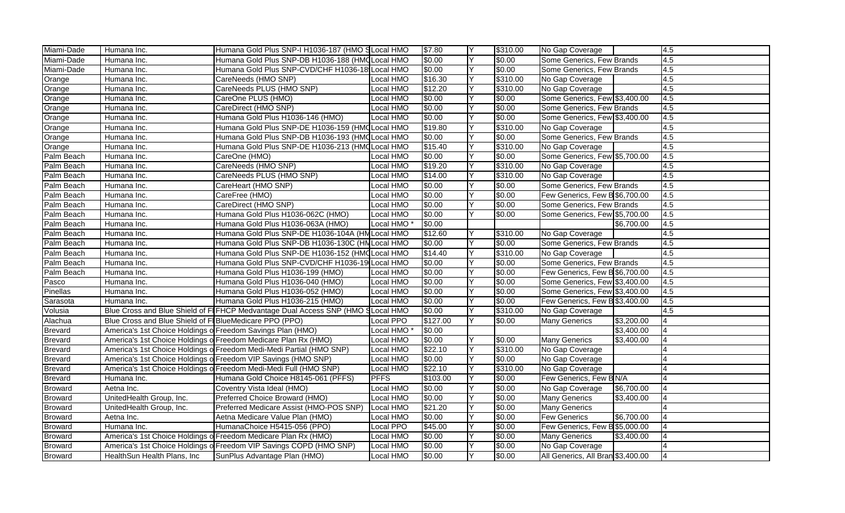| Miami-Dade     | Humana Inc.                                                | Humana Gold Plus SNP-I H1036-187 (HMO SLocal HMO                                |                        | \$7.80   |   | \$310.00 | No Gap Coverage                   |            | $\overline{4.5}$ |
|----------------|------------------------------------------------------------|---------------------------------------------------------------------------------|------------------------|----------|---|----------|-----------------------------------|------------|------------------|
| Miami-Dade     | Humana Inc.                                                | Humana Gold Plus SNP-DB H1036-188 (HMQ Local HMO                                |                        | \$0.00   | Y | \$0.00   | Some Generics, Few Brands         |            | 4.5              |
| Miami-Dade     | Humana Inc.                                                | Humana Gold Plus SNP-CVD/CHF H1036-18 Local HMO                                 |                        | \$0.00   | Y | \$0.00   | Some Generics, Few Brands         |            | 4.5              |
| Orange         | Humana Inc.                                                | CareNeeds (HMO SNP)                                                             | Local HMO              | \$16.30  | Y | \$310.00 | No Gap Coverage                   |            | $\overline{4.5}$ |
| Orange         | Humana Inc.                                                | CareNeeds PLUS (HMO SNP)                                                        | Local HMO              | \$12.20  | Y | \$310.00 | No Gap Coverage                   |            | $\overline{4.5}$ |
| Orange         | Humana Inc.                                                | CareOne PLUS (HMO)                                                              | Local HMO              | \$0.00   | Y | \$0.00   | Some Generics, Few \$3,400.00     |            | $\overline{4.5}$ |
| Orange         | Humana Inc.                                                | CareDirect (HMO SNP)                                                            | Local HMO              | \$0.00   | Y | \$0.00   | Some Generics, Few Brands         |            | $\overline{4.5}$ |
| Orange         | Humana Inc.                                                | Humana Gold Plus H1036-146 (HMO)                                                | Local HMO              | \$0.00   | Y | \$0.00   | Some Generics, Few \$3,400.00     |            | 4.5              |
| Orange         | Humana Inc.                                                | Humana Gold Plus SNP-DE H1036-159 (HMQ Local HMO                                |                        | \$19.80  | Y | \$310.00 | No Gap Coverage                   |            | $\overline{4.5}$ |
| Orange         | Humana Inc.                                                | Humana Gold Plus SNP-DB H1036-193 (HMCLocal HMO                                 |                        | \$0.00   | Y | \$0.00   | Some Generics, Few Brands         |            | $\overline{4.5}$ |
| Orange         | Humana Inc.                                                | Humana Gold Plus SNP-DE H1036-213 (HMCLocal HMO                                 |                        | \$15.40  | Υ | \$310.00 | No Gap Coverage                   |            | 4.5              |
| Palm Beach     | Humana Inc.                                                | CareOne (HMO)                                                                   | Local HMO              | \$0.00   | Y | \$0.00   | Some Generics, Few \$5,700.00     |            | 4.5              |
| Palm Beach     | Humana Inc.                                                | CareNeeds (HMO SNP)                                                             | Local HMO              | \$19.20  | Υ | \$310.00 | No Gap Coverage                   |            | $\overline{4.5}$ |
| Palm Beach     | Humana Inc.                                                | CareNeeds PLUS (HMO SNP)                                                        | Local HMO              | \$14.00  | Y | \$310.00 | No Gap Coverage                   |            | 4.5              |
| Palm Beach     | Humana Inc.                                                | CareHeart (HMO SNP)                                                             | Local HMO              | \$0.00   | Y | \$0.00   | Some Generics, Few Brands         |            | 4.5              |
| Palm Beach     | Humana Inc.                                                | CareFree (HMO)                                                                  | Local HMO              | \$0.00   | Y | \$0.00   | Few Generics, Few B \$6,700.00    |            | $\overline{4.5}$ |
| Palm Beach     | Humana Inc.                                                | CareDirect (HMO SNP)                                                            | Local HMO              | \$0.00   | Y | \$0.00   | Some Generics, Few Brands         |            | 4.5              |
| Palm Beach     | Humana Inc.                                                | Humana Gold Plus H1036-062C (HMO)                                               | Local HMO              | \$0.00   | Y | \$0.00   | Some Generics, Few \$5,700.00     |            | 4.5              |
| Palm Beach     | Humana Inc.                                                | Humana Gold Plus H1036-063A (HMO)                                               | Local HMO <sup>*</sup> | \$0.00   |   |          |                                   | \$6,700.00 | 4.5              |
| Palm Beach     | Humana Inc.                                                | Humana Gold Plus SNP-DE H1036-104A (HM Local HMO                                |                        | \$12.60  |   | \$310.00 | No Gap Coverage                   |            | 4.5              |
| Palm Beach     | Humana Inc.                                                | Humana Gold Plus SNP-DB H1036-130C (HNLocal HMO                                 |                        | \$0.00   | Y | \$0.00   | Some Generics, Few Brands         |            | 4.5              |
| Palm Beach     | Humana Inc.                                                | Humana Gold Plus SNP-DE H1036-152 (HMC Local HMO                                |                        | \$14.40  | Y | \$310.00 | No Gap Coverage                   |            | 4.5              |
| Palm Beach     | Humana Inc.                                                | Humana Gold Plus SNP-CVD/CHF H1036-19 Local HMO                                 |                        | \$0.00   | Y | \$0.00   | Some Generics, Few Brands         |            | 4.5              |
| Palm Beach     | Humana Inc.                                                | Humana Gold Plus H1036-199 (HMO)                                                | Local HMO              | \$0.00   | Y | \$0.00   | Few Generics, Few B \$6,700.00    |            | 4.5              |
| Pasco          | Humana Inc.                                                | Humana Gold Plus H1036-040 (HMO)                                                | Local HMO              | \$0.00   | Y | \$0.00   | Some Generics, Few \$3,400.00     |            | $\overline{4.5}$ |
| Pinellas       | Humana Inc.                                                | Humana Gold Plus H1036-052 (HMO)                                                | Local HMO              | \$0.00   | Υ | \$0.00   | Some Generics, Few \$3,400.00     |            | 4.5              |
| Sarasota       | Humana Inc.                                                | Humana Gold Plus H1036-215 (HMO)                                                | Local HMO              | \$0.00   | Y | \$0.00   | Few Generics, Few B \$3,400.00    |            | 4.5              |
| Volusia        |                                                            | Blue Cross and Blue Shield of FIFHCP Medvantage Dual Access SNP (HMO SLocal HMO |                        | \$0.00   | Y | \$310.00 | No Gap Coverage                   |            | 4.5              |
| Alachua        | Blue Cross and Blue Shield of FIBlueMedicare PPO (PPO)     |                                                                                 | <b>Local PPO</b>       | \$127.00 | Y | \$0.00   | <b>Many Generics</b>              | \$3,200.00 | $\overline{A}$   |
| Brevard        | America's 1st Choice Holdings o Freedom Savings Plan (HMO) |                                                                                 | Local HMO <sup>*</sup> | \$0.00   |   |          |                                   | \$3,400.00 |                  |
| <b>Brevard</b> |                                                            | America's 1st Choice Holdings of Freedom Medicare Plan Rx (HMO)                 | Local HMO              | \$0.00   | Y | \$0.00   | <b>Many Generics</b>              | \$3,400.00 | I4               |
| <b>Brevard</b> |                                                            | America's 1st Choice Holdings of Freedom Medi-Medi Partial (HMO SNP)            | Local HMO              | \$22.10  | Y | \$310.00 | No Gap Coverage                   |            |                  |
| <b>Brevard</b> |                                                            | America's 1st Choice Holdings of Freedom VIP Savings (HMO SNP)                  | Local HMO              | \$0.00   | Y | \$0.00   | No Gap Coverage                   |            | $\overline{A}$   |
| <b>Brevard</b> |                                                            | America's 1st Choice Holdings of Freedom Medi-Medi Full (HMO SNP)               | <b>Local HMO</b>       | \$22.10  | Y | \$310.00 | No Gap Coverage                   |            | $\overline{4}$   |
| Brevard        | Humana Inc.                                                | Humana Gold Choice H8145-061 (PFFS)                                             | <b>PFFS</b>            | \$103.00 | Υ | \$0.00   | Few Generics, Few BN/A            |            |                  |
| <b>Broward</b> | Aetna Inc.                                                 | Coventry Vista Ideal (HMO)                                                      | Local HMO              | \$0.00   | Y | \$0.00   | No Gap Coverage                   | \$6,700.00 | l4               |
| <b>Broward</b> | UnitedHealth Group, Inc.                                   | Preferred Choice Broward (HMO)                                                  | Local HMO              | \$0.00   | Υ | \$0.00   | <b>Many Generics</b>              | \$3,400.00 | 14               |
| <b>Broward</b> | UnitedHealth Group, Inc.                                   | Preferred Medicare Assist (HMO-POS SNP)                                         | Local HMO              | \$21.20  | Y | \$0.00   | <b>Many Generics</b>              |            |                  |
| Broward        | Aetna Inc.                                                 | Aetna Medicare Value Plan (HMO)                                                 | ocal HMO               | \$0.00   | Y | \$0.00   | <b>Few Generics</b>               | \$6,700.00 | $\overline{A}$   |
| <b>Broward</b> | Humana Inc.                                                | HumanaChoice H5415-056 (PPO)                                                    | Local PPO              | \$45.00  | Υ | \$0.00   | Few Generics, Few B \$5,000.00    |            | l4               |
| <b>Broward</b> |                                                            | America's 1st Choice Holdings of Freedom Medicare Plan Rx (HMO)                 | <b>Local HMO</b>       | \$0.00   | Y | \$0.00   | <b>Many Generics</b>              | \$3,400.00 | l4               |
| <b>Broward</b> |                                                            | America's 1st Choice Holdings of Freedom VIP Savings COPD (HMO SNP)             | Local HMO              | \$0.00   | Y | \$0.00   | No Gap Coverage                   |            |                  |
| <b>Broward</b> | HealthSun Health Plans, Inc                                | SunPlus Advantage Plan (HMO)                                                    | Local HMO              | \$0.00   | Υ | \$0.00   | All Generics, All Bran \$3,400.00 |            | 14               |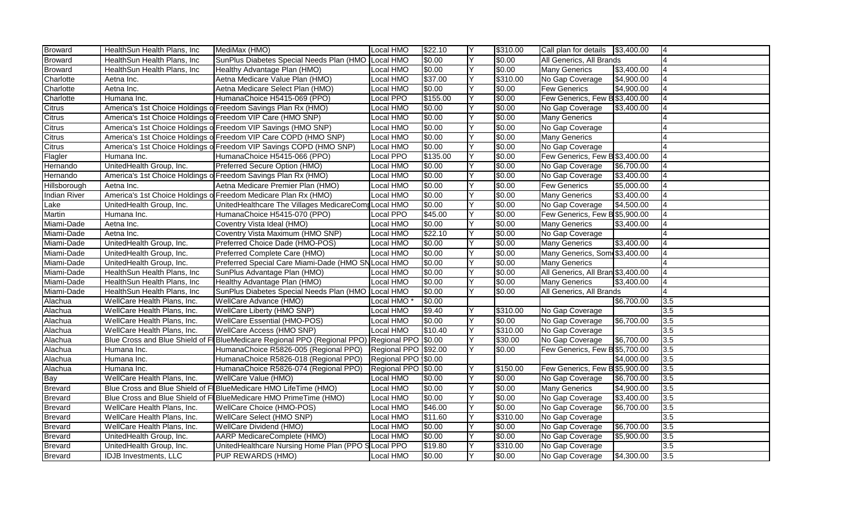| <b>Broward</b>      | HealthSun Health Plans, Inc                                 | MediMax (HMO)                                                                                | Local HMO           | \$22.10  | Y   | \$310.00 | Call plan for details \$3,400.00  |            | 4              |
|---------------------|-------------------------------------------------------------|----------------------------------------------------------------------------------------------|---------------------|----------|-----|----------|-----------------------------------|------------|----------------|
| <b>Broward</b>      | HealthSun Health Plans, Inc                                 | SunPlus Diabetes Special Needs Plan (HMO Local HMO                                           |                     | \$0.00   | Y   | \$0.00   | All Generics, All Brands          |            |                |
| <b>Broward</b>      | HealthSun Health Plans, Inc                                 | Healthy Advantage Plan (HMO)                                                                 | Local HMO           | \$0.00   | Y   | \$0.00   | <b>Many Generics</b>              | \$3,400.00 |                |
| Charlotte           | Aetna Inc.                                                  | Aetna Medicare Value Plan (HMO)                                                              | Local HMO           | \$37.00  | Y   | \$310.00 | No Gap Coverage                   | \$4,900.00 | I4             |
| Charlotte           | Aetna Inc.                                                  | Aetna Medicare Select Plan (HMO)                                                             | Local HMO           | \$0.00   | Y   | \$0.00   | <b>Few Generics</b>               | \$4,900.00 | l4             |
| Charlotte           | Humana Inc.                                                 | HumanaChoice H5415-069 (PPO)                                                                 | Local PPO           | \$155.00 | Υ   | \$0.00   | Few Generics, Few B \$3,400.00    |            |                |
| Citrus              |                                                             | America's 1st Choice Holdings of Freedom Savings Plan Rx (HMO)                               | Local HMO           | \$0.00   | Y   | \$0.00   | No Gap Coverage                   | \$3,400.00 | I4             |
| Citrus              | America's 1st Choice Holdings of Freedom VIP Care (HMO SNP) |                                                                                              | <b>Local HMO</b>    | \$0.00   | Y   | \$0.00   | <b>Many Generics</b>              |            |                |
| Citrus              |                                                             | America's 1st Choice Holdings o Freedom VIP Savings (HMO SNP)                                | Local HMO           | \$0.00   | Y   | \$0.00   | No Gap Coverage                   |            | $\overline{A}$ |
| Citrus              |                                                             | America's 1st Choice Holdings of Freedom VIP Care COPD (HMO SNP)                             | Local HMO           | \$0.00   | Y   | \$0.00   | <b>Many Generics</b>              |            | $\overline{4}$ |
| Citrus              |                                                             | America's 1st Choice Holdings of Freedom VIP Savings COPD (HMO SNP)                          | Local HMO           | \$0.00   | Υ   | \$0.00   | No Gap Coverage                   |            | 4              |
| Flagler             | Humana Inc.                                                 | HumanaChoice H5415-066 (PPO)                                                                 | Local PPO           | \$135.00 | lΥ  | \$0.00   | Few Generics, Few B \$3,400.00    |            | l4             |
| Hernando            | UnitedHealth Group, Inc.                                    | Preferred Secure Option (HMO)                                                                | Local HMO           | \$0.00   | Υ   | \$0.00   | No Gap Coverage                   | \$6,700.00 | 14             |
| Hernando            |                                                             | America's 1st Choice Holdings of Freedom Savings Plan Rx (HMO)                               | Local HMO           | \$0.00   | Y   | \$0.00   | No Gap Coverage                   | \$3,400.00 | 14             |
| Hillsborough        | Aetna Inc.                                                  | Aetna Medicare Premier Plan (HMO)                                                            | Local HMO           | \$0.00   | Y   | \$0.00   | <b>Few Generics</b>               | \$5,000.00 |                |
| <b>Indian River</b> |                                                             | America's 1st Choice Holdings o Freedom Medicare Plan Rx (HMO)                               | Local HMO           | \$0.00   | Y   | \$0.00   | <b>Many Generics</b>              | \$3,400.00 | I4             |
| Lake                | UnitedHealth Group, Inc.                                    | UnitedHealthcare The Villages MedicareComr Local HMO                                         |                     | \$0.00   | Y   | \$0.00   | No Gap Coverage                   | \$4,500.00 |                |
| Martin              | Humana Inc.                                                 | HumanaChoice H5415-070 (PPO)                                                                 | <b>Local PPO</b>    | \$45.00  | Υ   | \$0.00   | Few Generics, Few B \$5,900.00    |            |                |
| Miami-Dade          | Aetna Inc.                                                  | Coventry Vista Ideal (HMO)                                                                   | Local HMO           | \$0.00   | IY. | \$0.00   | <b>Many Generics</b>              | \$3,400.00 | I4             |
| Miami-Dade          | Aetna Inc.                                                  | Coventry Vista Maximum (HMO SNP)                                                             | Local HMO           | \$22.10  | Y   | \$0.00   | No Gap Coverage                   |            |                |
| Miami-Dade          | UnitedHealth Group, Inc.                                    | Preferred Choice Dade (HMO-POS)                                                              | Local HMO           | \$0.00   | Y   | \$0.00   | <b>Many Generics</b>              | \$3,400.00 | I4             |
| Miami-Dade          | UnitedHealth Group, Inc.                                    | Preferred Complete Care (HMO)                                                                | Local HMO           | \$0.00   | Y   | \$0.00   | Many Generics, Som \$3,400.00     |            |                |
| Miami-Dade          | UnitedHealth Group, Inc.                                    | Preferred Special Care Miami-Dade (HMO SN Local HMO                                          |                     | \$0.00   | Y   | \$0.00   | <b>Many Generics</b>              |            |                |
| Miami-Dade          | HealthSun Health Plans, Inc                                 | SunPlus Advantage Plan (HMO)                                                                 | Local HMO           | \$0.00   | Y   | \$0.00   | All Generics, All Bran \$3,400.00 |            | I4             |
| Miami-Dade          | HealthSun Health Plans, Inc.                                | Healthy Advantage Plan (HMO)                                                                 | Local HMO           | \$0.00   | Y   | \$0.00   | <b>Many Generics</b>              | \$3,400.00 | 4              |
| Miami-Dade          | HealthSun Health Plans, Inc                                 | SunPlus Diabetes Special Needs Plan (HMO Local HMO                                           |                     | \$0.00   | Y   | \$0.00   | All Generics, All Brands          |            |                |
| Alachua             | WellCare Health Plans, Inc.                                 | <b>WellCare Advance (HMO)</b>                                                                | Local HMO           | \$0.00   |     |          |                                   | \$6,700.00 | 3.5            |
| Alachua             | WellCare Health Plans, Inc.                                 | <b>WellCare Liberty (HMO SNP)</b>                                                            | Local HMO           | \$9.40   | Y   | \$310.00 | No Gap Coverage                   |            | 3.5            |
| Alachua             | WellCare Health Plans, Inc.                                 | <b>WellCare Essential (HMO-POS)</b>                                                          | Local HMO           | \$0.00   | Y   | \$0.00   | No Gap Coverage                   | \$6,700.00 | 3.5            |
| Alachua             | WellCare Health Plans, Inc.                                 | <b>WellCare Access (HMO SNP)</b>                                                             | Local HMO           | \$10.40  | Υ   | \$310.00 | No Gap Coverage                   |            | 3.5            |
| Alachua             |                                                             | Blue Cross and Blue Shield of FIBlueMedicare Regional PPO (Regional PPO) Regional PPO \$0.00 |                     |          | Y   | \$30.00  | No Gap Coverage                   | \$6,700.00 | 3.5            |
| Alachua             | Humana Inc.                                                 | HumanaChoice R5826-005 (Regional PPO) Regional PPO \$92.00                                   |                     |          | Y   | \$0.00   | Few Generics, Few B \$5,700.00    |            | 3.5            |
| Alachua             | Humana Inc.                                                 | HumanaChoice R5826-018 (Regional PPO) Regional PPO \$0.00                                    |                     |          |     |          |                                   | \$4,000.00 | 3.5            |
| Alachua             | Humana Inc.                                                 | HumanaChoice R5826-074 (Regional PPO)                                                        | Regional PPO \$0.00 |          | Y   | \$150.00 | Few Generics, Few B \$5,900.00    |            | 3.5            |
| Bay                 | WellCare Health Plans, Inc.                                 | WellCare Value (HMO)                                                                         | Local HMO           | \$0.00   | Y   | \$0.00   | No Gap Coverage                   | \$6,700.00 | 3.5            |
| <b>Brevard</b>      |                                                             | Blue Cross and Blue Shield of FI BlueMedicare HMO LifeTime (HMO)                             | Local HMO           | \$0.00   | Y   | \$0.00   | <b>Many Generics</b>              | \$4,900.00 | 3.5            |
| Brevard             |                                                             | Blue Cross and Blue Shield of FI BlueMedicare HMO PrimeTime (HMO)                            | Local HMO           | \$0.00   | Υ   | \$0.00   | No Gap Coverage                   | \$3,400.00 | 3.5            |
| Brevard             | WellCare Health Plans, Inc.                                 | <b>WellCare Choice (HMO-POS)</b>                                                             | Local HMO           | \$46.00  | Y   | \$0.00   | No Gap Coverage                   | \$6,700.00 | 3.5            |
| Brevard             | WellCare Health Plans, Inc.                                 | WellCare Select (HMO SNP)                                                                    | Local HMO           | \$11.60  | Y   | \$310.00 | No Gap Coverage                   |            | 3.5            |
| Brevard             | WellCare Health Plans, Inc.                                 | <b>WellCare Dividend (HMO)</b>                                                               | Local HMO           | \$0.00   | Υ   | \$0.00   | No Gap Coverage                   | \$6,700.00 | 3.5            |
| <b>Brevard</b>      | UnitedHealth Group, Inc.                                    | <b>AARP</b> MedicareComplete (HMO)                                                           | Local HMO           | \$0.00   | Y   | \$0.00   | No Gap Coverage                   | \$5,900.00 | 3.5            |
| Brevard             | UnitedHealth Group, Inc.                                    | UnitedHealthcare Nursing Home Plan (PPO SLocal PPO                                           |                     | \$19.80  | Υ   | \$310.00 | No Gap Coverage                   |            | 3.5            |
| <b>Brevard</b>      | <b>IDJB</b> Investments, LLC                                | PUP REWARDS (HMO)                                                                            | Local HMO           | \$0.00   | Υ   | \$0.00   | No Gap Coverage                   | \$4,300.00 | 3.5            |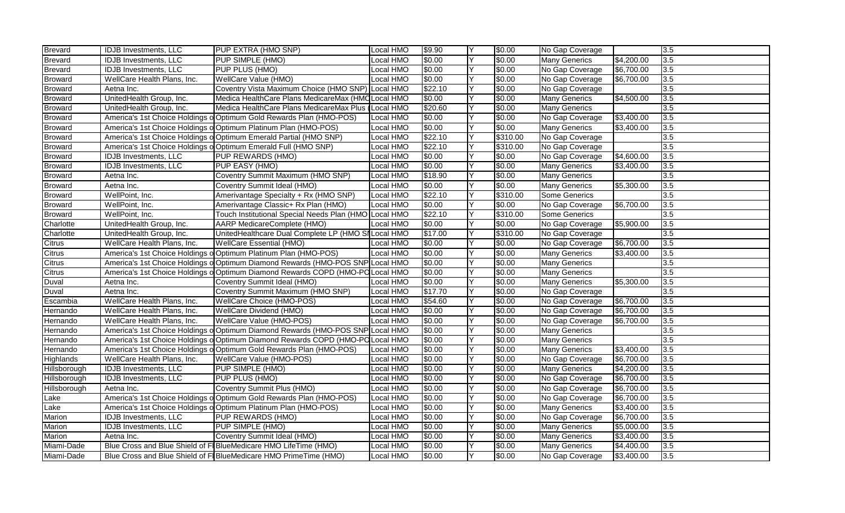| <b>Brevard</b> | <b>IDJB</b> Investments, LLC | PUP EXTRA (HMO SNP)                                                            | Local HMO | \$9.90  | Y  | \$0.00   | No Gap Coverage      |            | 3.5 |
|----------------|------------------------------|--------------------------------------------------------------------------------|-----------|---------|----|----------|----------------------|------------|-----|
| <b>Brevard</b> | IDJB Investments, LLC        | PUP SIMPLE (HMO)                                                               | Local HMO | \$0.00  | Y  | \$0.00   | <b>Many Generics</b> | \$4,200.00 | 3.5 |
| Brevard        | <b>IDJB</b> Investments, LLC | PUP PLUS (HMO)                                                                 | Local HMO | \$0.00  | Y  | \$0.00   | No Gap Coverage      | \$6,700.00 | 3.5 |
| Broward        | WellCare Health Plans, Inc.  | WellCare Value (HMO)                                                           | Local HMO | \$0.00  | Y  | \$0.00   | No Gap Coverage      | \$6,700.00 | 3.5 |
| <b>Broward</b> | Aetna Inc.                   | Coventry Vista Maximum Choice (HMO SNP) Local HMO                              |           | \$22.10 | Y  | \$0.00   | No Gap Coverage      |            | 3.5 |
| <b>Broward</b> | UnitedHealth Group, Inc.     | Medica HealthCare Plans MedicareMax (HMC Local HMO                             |           | \$0.00  | Υ  | \$0.00   | <b>Many Generics</b> | \$4,500.00 | 3.5 |
| <b>Broward</b> | UnitedHealth Group, Inc.     | Medica HealthCare Plans MedicareMax Plus (Local HMO                            |           | \$20.60 | Y  | \$0.00   | <b>Many Generics</b> |            | 3.5 |
| <b>Broward</b> |                              | America's 1st Choice Holdings o Optimum Gold Rewards Plan (HMO-POS)            | Local HMO | \$0.00  | Y  | \$0.00   | No Gap Coverage      | \$3,400.00 | 3.5 |
| <b>Broward</b> |                              | America's 1st Choice Holdings o Optimum Platinum Plan (HMO-POS)                | Local HMO | \$0.00  | Y  | \$0.00   | <b>Many Generics</b> | \$3,400.00 | 3.5 |
| <b>Broward</b> |                              | America's 1st Choice Holdings o Optimum Emerald Partial (HMO SNP)              | Local HMO | \$22.10 | Y  | \$310.00 | No Gap Coverage      |            | 3.5 |
| <b>Broward</b> |                              | America's 1st Choice Holdings o Optimum Emerald Full (HMO SNP)                 | Local HMO | \$22.10 | Υ  | \$310.00 | No Gap Coverage      |            | 3.5 |
| <b>Broward</b> | <b>IDJB</b> Investments, LLC | PUP REWARDS (HMO)                                                              | Local HMO | \$0.00  | lΥ | \$0.00   | No Gap Coverage      | \$4,600.00 | 3.5 |
| <b>Broward</b> | <b>IDJB</b> Investments, LLC | PUP EASY (HMO)                                                                 | Local HMO | \$0.00  | Y  | \$0.00   | <b>Many Generics</b> | \$3,400.00 | 3.5 |
| <b>Broward</b> | Aetna Inc.                   | Coventry Summit Maximum (HMO SNP)                                              | Local HMO | \$18.90 | Y  | \$0.00   | <b>Many Generics</b> |            | 3.5 |
| <b>Broward</b> | Aetna Inc.                   | Coventry Summit Ideal (HMO)                                                    | Local HMO | \$0.00  | Y  | \$0.00   | <b>Many Generics</b> | \$5,300.00 | 3.5 |
| <b>Broward</b> | WellPoint, Inc.              | Amerivantage Specialty + Rx (HMO SNP)                                          | Local HMO | \$22.10 | Y  | \$310.00 | Some Generics        |            | 3.5 |
| <b>Broward</b> | WellPoint, Inc.              | Amerivantage Classic+ Rx Plan (HMO)                                            | Local HMO | \$0.00  | Y  | \$0.00   | No Gap Coverage      | \$6,700.00 | 3.5 |
| <b>Broward</b> | WellPoint, Inc.              | Touch Institutional Special Needs Plan (HMO Local HMO                          |           | \$22.10 | Υ  | \$310.00 | Some Generics        |            | 3.5 |
| Charlotte      | UnitedHealth Group, Inc.     | <b>AARP MedicareComplete (HMO)</b>                                             | Local HMO | \$0.00  | ΙY | \$0.00   | No Gap Coverage      | \$5,900.00 | 3.5 |
| Charlotte      | UnitedHealth Group, Inc.     | UnitedHealthcare Dual Complete LP (HMO SI Local HMO                            |           | \$17.00 | Y  | \$310.00 | No Gap Coverage      |            | 3.5 |
| Citrus         | WellCare Health Plans, Inc.  | <b>WellCare Essential (HMO)</b>                                                | Local HMO | \$0.00  | Y  | \$0.00   | No Gap Coverage      | \$6,700.00 | 3.5 |
| Citrus         |                              | America's 1st Choice Holdings o Optimum Platinum Plan (HMO-POS)                | Local HMO | \$0.00  | Y  | \$0.00   | <b>Many Generics</b> | \$3,400.00 | 3.5 |
| <b>Citrus</b>  |                              | America's 1st Choice Holdings o Optimum Diamond Rewards (HMO-POS SNP Local HMO |           | \$0.00  | Y  | \$0.00   | <b>Many Generics</b> |            | 3.5 |
| Citrus         |                              | America's 1st Choice Holdings o Optimum Diamond Rewards COPD (HMO-PO Local HMO |           | \$0.00  | Y  | \$0.00   | <b>Many Generics</b> |            | 3.5 |
| Duval          | Aetna Inc.                   | Coventry Summit Ideal (HMO)                                                    | Local HMO | \$0.00  | Υ  | \$0.00   | <b>Many Generics</b> | \$5,300.00 | 3.5 |
| Duval          | Aetna Inc.                   | Coventry Summit Maximum (HMO SNP)                                              | Local HMO | \$17.70 | Υ  | \$0.00   | No Gap Coverage      |            | 3.5 |
| Escambia       | WellCare Health Plans, Inc.  | <b>WellCare Choice (HMO-POS)</b>                                               | Local HMO | \$54.60 | Y  | \$0.00   | No Gap Coverage      | \$6,700.00 | 3.5 |
| Hernando       | WellCare Health Plans, Inc.  | <b>WellCare Dividend (HMO)</b>                                                 | Local HMO | \$0.00  | Υ  | \$0.00   | No Gap Coverage      | \$6,700.00 | 3.5 |
| Hernando       | WellCare Health Plans, Inc.  | WellCare Value (HMO-POS)                                                       | Local HMO | \$0.00  | Y  | \$0.00   | No Gap Coverage      | \$6,700.00 | 3.5 |
| Hernando       |                              | America's 1st Choice Holdings o Optimum Diamond Rewards (HMO-POS SNP Local HMO |           | \$0.00  | Υ  | \$0.00   | <b>Many Generics</b> |            | 3.5 |
| Hernando       |                              | America's 1st Choice Holdings o Optimum Diamond Rewards COPD (HMO-PO Local HMO |           | \$0.00  | Υ  | \$0.00   | <b>Many Generics</b> |            | 3.5 |
| Hernando       |                              | America's 1st Choice Holdings o Optimum Gold Rewards Plan (HMO-POS)            | Local HMO | \$0.00  | Y  | \$0.00   | <b>Many Generics</b> | \$3,400.00 | 3.5 |
| Highlands      | WellCare Health Plans, Inc.  | WellCare Value (HMO-POS)                                                       | Local HMO | \$0.00  | Y  | \$0.00   | No Gap Coverage      | \$6,700.00 | 3.5 |
| Hillsborough   | <b>IDJB Investments, LLC</b> | PUP SIMPLE (HMO)                                                               | Local HMO | \$0.00  | Y  | \$0.00   | <b>Many Generics</b> | \$4,200.00 | 3.5 |
| Hillsborough   | <b>IDJB</b> Investments, LLC | PUP PLUS (HMO)                                                                 | Local HMO | \$0.00  | Υ  | \$0.00   | No Gap Coverage      | \$6,700.00 | 3.5 |
| Hillsborough   | Aetna Inc.                   | Coventry Summit Plus (HMO)                                                     | Local HMO | \$0.00  | Y  | \$0.00   | No Gap Coverage      | \$6,700.00 | 3.5 |
| Lake           |                              | America's 1st Choice Holdings o Optimum Gold Rewards Plan (HMO-POS)            | Local HMO | \$0.00  | Υ  | \$0.00   | No Gap Coverage      | \$6,700.00 | 3.5 |
| Lake           |                              | America's 1st Choice Holdings o Optimum Platinum Plan (HMO-POS)                | Local HMO | \$0.00  | Y  | \$0.00   | <b>Many Generics</b> | \$3,400.00 | 3.5 |
| Marion         | IDJB Investments, LLC        | PUP REWARDS (HMO)                                                              | ocal HMO  | \$0.00  | Y  | \$0.00   | No Gap Coverage      | \$6,700.00 | 3.5 |
| Marion         | <b>IDJB</b> Investments, LLC | PUP SIMPLE (HMO)                                                               | Local HMO | \$0.00  | Υ  | \$0.00   | <b>Many Generics</b> | \$5,000.00 | 3.5 |
| Marion         | Aetna Inc.                   | Coventry Summit Ideal (HMO)                                                    | Local HMO | \$0.00  | Y  | \$0.00   | <b>Many Generics</b> | \$3,400.00 | 3.5 |
| Miami-Dade     |                              | Blue Cross and Blue Shield of FI BlueMedicare HMO LifeTime (HMO)               | Local HMO | \$0.00  | Y  | \$0.00   | <b>Many Generics</b> | \$4,400.00 | 3.5 |
| Miami-Dade     |                              | Blue Cross and Blue Shield of FI BlueMedicare HMO PrimeTime (HMO)              | Local HMO | \$0.00  | Υ  | \$0.00   | No Gap Coverage      | \$3,400.00 | 3.5 |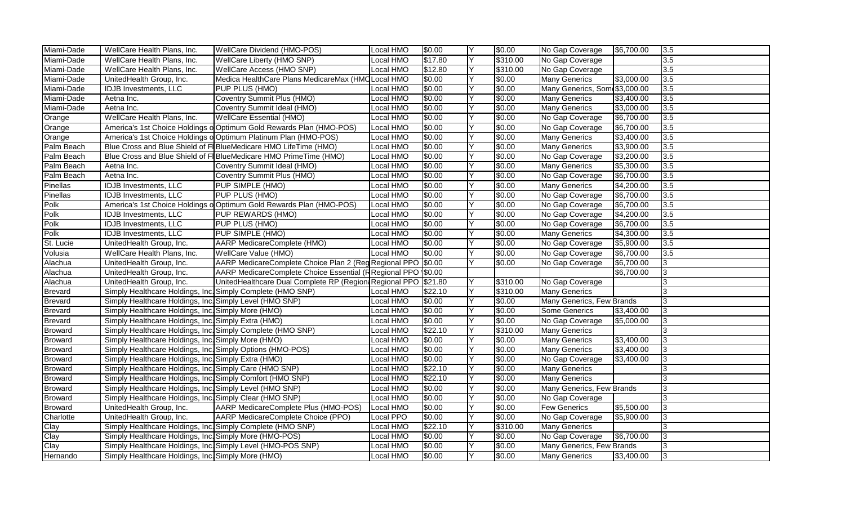| Miami-Dade     | WellCare Health Plans, Inc.                                 | WellCare Dividend (HMO-POS)                                         | Local HMO        | \$0.00  |   | \$0.00   | No Gap Coverage               | \$6,700.00 | 3.5            |
|----------------|-------------------------------------------------------------|---------------------------------------------------------------------|------------------|---------|---|----------|-------------------------------|------------|----------------|
| Miami-Dade     | WellCare Health Plans, Inc.                                 | WellCare Liberty (HMO SNP)                                          | Local HMO        | \$17.80 | Y | \$310.00 | No Gap Coverage               |            | 3.5            |
| Miami-Dade     | WellCare Health Plans, Inc.                                 | WellCare Access (HMO SNP)                                           | Local HMO        | \$12.80 | Y | \$310.00 | No Gap Coverage               |            | 3.5            |
| Miami-Dade     | UnitedHealth Group, Inc.                                    | Medica HealthCare Plans MedicareMax (HMCLocal HMO                   |                  | \$0.00  | Y | \$0.00   | <b>Many Generics</b>          | \$3,000.00 | 3.5            |
| Miami-Dade     | <b>IDJB</b> Investments, LLC                                | PUP PLUS (HMO)                                                      | Local HMO        | \$0.00  | Y | \$0.00   | Many Generics, Som \$3,000.00 |            | 3.5            |
| Miami-Dade     | Aetna Inc.                                                  | Coventry Summit Plus (HMO)                                          | Local HMO        | \$0.00  | Y | \$0.00   | <b>Many Generics</b>          | \$3,400.00 | 3.5            |
| Miami-Dade     | Aetna Inc.                                                  | Coventry Summit Ideal (HMO)                                         | Local HMO        | \$0.00  | Y | \$0.00   | <b>Many Generics</b>          | \$3,000.00 | 3.5            |
| Orange         | WellCare Health Plans, Inc.                                 | <b>WellCare Essential (HMO)</b>                                     | <b>Local HMO</b> | \$0.00  | Y | \$0.00   | No Gap Coverage               | \$6,700.00 | 3.5            |
| Orange         |                                                             | America's 1st Choice Holdings o Optimum Gold Rewards Plan (HMO-POS) | Local HMO        | \$0.00  | Y | \$0.00   | No Gap Coverage               | \$6,700.00 | 3.5            |
| Orange         |                                                             | America's 1st Choice Holdings o Optimum Platinum Plan (HMO-POS)     | Local HMO        | \$0.00  | Y | \$0.00   | <b>Many Generics</b>          | \$3,400.00 | 3.5            |
| Palm Beach     |                                                             | Blue Cross and Blue Shield of FIBlueMedicare HMO LifeTime (HMO)     | Local HMO        | \$0.00  | Υ | \$0.00   | <b>Many Generics</b>          | \$3,900.00 | 3.5            |
| Palm Beach     |                                                             | Blue Cross and Blue Shield of FI BlueMedicare HMO PrimeTime (HMO)   | Local HMO        | \$0.00  | Y | \$0.00   | No Gap Coverage               | \$3,200.00 | 3.5            |
| Palm Beach     | Aetna Inc.                                                  | Coventry Summit Ideal (HMO)                                         | Local HMO        | \$0.00  | Υ | \$0.00   | <b>Many Generics</b>          | \$5,300.00 | 3.5            |
| Palm Beach     | Aetna Inc.                                                  | Coventry Summit Plus (HMO)                                          | Local HMO        | \$0.00  | Y | \$0.00   | No Gap Coverage               | \$6,700.00 | 3.5            |
| Pinellas       | <b>IDJB</b> Investments, LLC                                | PUP SIMPLE (HMO)                                                    | Local HMO        | \$0.00  | Y | \$0.00   | <b>Many Generics</b>          | \$4,200.00 | 3.5            |
| Pinellas       | <b>IDJB</b> Investments, LLC                                | PUP PLUS (HMO)                                                      | Local HMO        | \$0.00  | Y | \$0.00   | No Gap Coverage               | \$6,700.00 | 3.5            |
| Polk           |                                                             | America's 1st Choice Holdings o Optimum Gold Rewards Plan (HMO-POS) | Local HMO        | \$0.00  | Y | \$0.00   | No Gap Coverage               | \$6,700.00 | 3.5            |
| Polk           | <b>IDJB</b> Investments, LLC                                | PUP REWARDS (HMO)                                                   | Local HMO        | \$0.00  | Υ | \$0.00   | No Gap Coverage               | \$4,200.00 | 3.5            |
| Polk           | <b>IDJB</b> Investments, LLC                                | PUP PLUS (HMO)                                                      | Local HMO        | \$0.00  | Y | \$0.00   | No Gap Coverage               | \$6,700.00 | 3.5            |
| Polk           | <b>IDJB</b> Investments, LLC                                | PUP SIMPLE (HMO)                                                    | Local HMO        | \$0.00  | Y | \$0.00   | <b>Many Generics</b>          | \$4,300.00 | 3.5            |
| St. Lucie      | UnitedHealth Group, Inc.                                    | <b>AARP MedicareComplete (HMO)</b>                                  | Local HMO        | \$0.00  | Y | \$0.00   | No Gap Coverage               | \$5,900.00 | 3.5            |
| Volusia        | WellCare Health Plans, Inc.                                 | WellCare Value (HMO)                                                | Local HMO        | \$0.00  | Y | \$0.00   | No Gap Coverage               | \$6,700.00 | 3.5            |
| Alachua        | UnitedHealth Group, Inc.                                    | AARP MedicareComplete Choice Plan 2 (Reg Regional PPO \$0.00        |                  |         | Y | \$0.00   | No Gap Coverage               | \$6,700.00 | 3              |
| Alachua        | UnitedHealth Group, Inc.                                    | AARP MedicareComplete Choice Essential (RRegional PPO \$0.00        |                  |         |   |          |                               | \$6,700.00 | 3              |
| Alachua        | UnitedHealth Group, Inc.                                    | UnitedHealthcare Dual Complete RP (Region Regional PPO \$21.80      |                  |         | Υ | \$310.00 | No Gap Coverage               |            | 3              |
| <b>Brevard</b> | Simply Healthcare Holdings, Inc. Simply Complete (HMO SNP)  |                                                                     | Local HMO        | \$22.10 | Υ | \$310.00 | <b>Many Generics</b>          |            | l3             |
| <b>Brevard</b> | Simply Healthcare Holdings, Inc. Simply Level (HMO SNP)     |                                                                     | Local HMO        | \$0.00  | Y | \$0.00   | Many Generics, Few Brands     |            | 3              |
| Brevard        | Simply Healthcare Holdings, Inc. Simply More (HMO)          |                                                                     | Local HMO        | \$0.00  | Υ | \$0.00   | Some Generics                 | \$3,400.00 | $\sqrt{3}$     |
| <b>Brevard</b> | Simply Healthcare Holdings, Inc. Simply Extra (HMO)         |                                                                     | Local HMO        | \$0.00  | Y | \$0.00   | No Gap Coverage               | \$5,000.00 | 13             |
| <b>Broward</b> | Simply Healthcare Holdings, Inc. Simply Complete (HMO SNP)  |                                                                     | Local HMO        | \$22.10 | Υ | \$310.00 | <b>Many Generics</b>          |            | l3             |
| <b>Broward</b> | Simply Healthcare Holdings, Inc. Simply More (HMO)          |                                                                     | Local HMO        | \$0.00  | Y | \$0.00   | <b>Many Generics</b>          | \$3,400.00 | $\vert$ 3      |
| Broward        | Simply Healthcare Holdings, Inc. Simply Options (HMO-POS)   |                                                                     | Local HMO        | \$0.00  | Y | \$0.00   | <b>Many Generics</b>          | \$3,400.00 | 3              |
| <b>Broward</b> | Simply Healthcare Holdings, Inc. Simply Extra (HMO)         |                                                                     | Local HMO        | \$0.00  | Y | \$0.00   | No Gap Coverage               | \$3,400.00 | 13             |
| <b>Broward</b> | Simply Healthcare Holdings, Inc. Simply Care (HMO SNP)      |                                                                     | Local HMO        | \$22.10 | Y | \$0.00   | <b>Many Generics</b>          |            | 13             |
| <b>Broward</b> | Simply Healthcare Holdings, Inc. Simply Comfort (HMO SNP)   |                                                                     | Local HMO        | \$22.10 | Y | \$0.00   | <b>Many Generics</b>          |            | 3              |
| <b>Broward</b> | Simply Healthcare Holdings, Inc. Simply Level (HMO SNP)     |                                                                     | Local HMO        | \$0.00  | Y | \$0.00   | Many Generics, Few Brands     |            | l3             |
| <b>Broward</b> | Simply Healthcare Holdings, Inc. Simply Clear (HMO SNP)     |                                                                     | Local HMO        | \$0.00  | Υ | \$0.00   | No Gap Coverage               |            | 3              |
| <b>Broward</b> | UnitedHealth Group, Inc.                                    | AARP MedicareComplete Plus (HMO-POS)                                | Local HMO        | \$0.00  | Y | \$0.00   | <b>Few Generics</b>           | \$5,500.00 | $\overline{3}$ |
| Charlotte      | UnitedHealth Group, Inc.                                    | AARP MedicareComplete Choice (PPO)                                  | Local PPO        | \$0.00  | Y | \$0.00   | No Gap Coverage               | \$5,900.00 | 13             |
| Clay           | Simply Healthcare Holdings, Inc. Simply Complete (HMO SNP)  |                                                                     | Local HMO        | \$22.10 | Υ | \$310.00 | <b>Many Generics</b>          |            | Iз             |
| Clay           | Simply Healthcare Holdings, Inc. Simply More (HMO-POS)      |                                                                     | Local HMO        | \$0.00  | Y | \$0.00   | No Gap Coverage               | \$6,700.00 | $\vert$ 3      |
| Clay           | Simply Healthcare Holdings, Inc. Simply Level (HMO-POS SNP) |                                                                     | Local HMO        | \$0.00  | Y | \$0.00   | Many Generics, Few Brands     |            | 3              |
| Hernando       | Simply Healthcare Holdings, Inc. Simply More (HMO)          |                                                                     | Local HMO        | \$0.00  | Υ | \$0.00   | <b>Many Generics</b>          | \$3,400.00 | 13             |